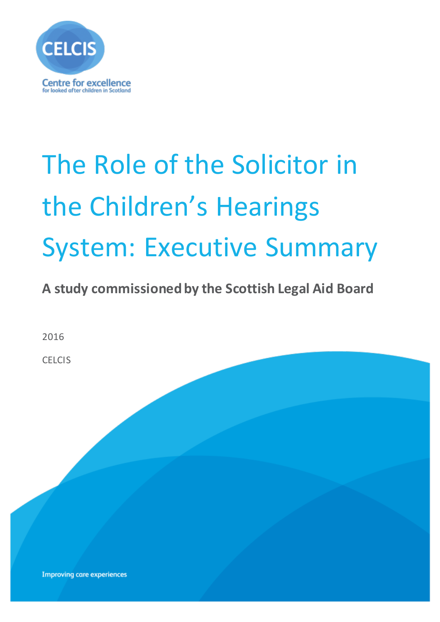

# The Role of the Solicitor in the Children's Hearings System: Executive Summary

**A study commissioned by the Scottish Legal Aid Board** 

2016

**CELCIS** 

**Improving care experiences**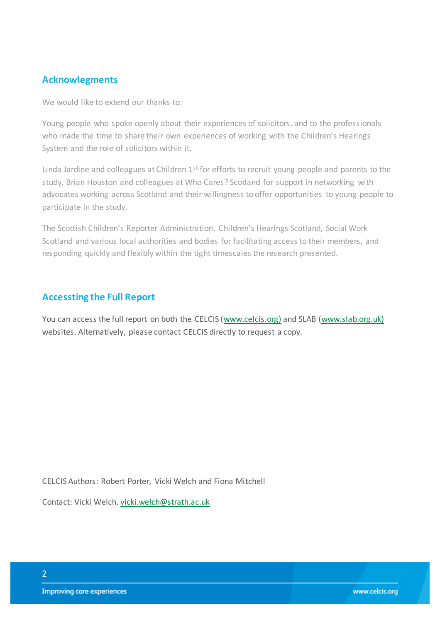#### **Acknowlegments**

We would like to extend our thanks to:

Young people who spoke openly about their experiences of solicitors, and to the professionals who made the time to share their own experiences of working with the Children's Hearings System and the role of solicitors within it.

Linda Jardine and colleagues at Children  $1<sup>st</sup>$  for efforts to recruit young people and parents to the study. Brian Houston and colleagues at Who Cares? Scotland for support in networking with advocates working across Scotland and their willingness to offer opportunities to young people to participate in the study.

The Scottish Children's Reporter Administration, Children's Hearings Scotland, Social Work Scotland and various local authorities and bodies for facilitating access to their members, and responding quickly and flexibly within the tight timescales the research presented.

#### **Accessting the Full Report**

You can access the full report on both the CELCIS [\(www.celcis.org\)](http://www.celcis.org)/) and SLAB [\(www.slab.org.uk\)](http://www.slab.org.uk)/) websites. Alternatively, please contact CELCIS directly to request a copy.

CELCIS Authors: Robert Porter, Vicki Welch and Fiona Mitchell

Contact: Vicki Welch[. vicki.welch@strath.ac.uk](mailto:vicki.welch@strath.ac.uk)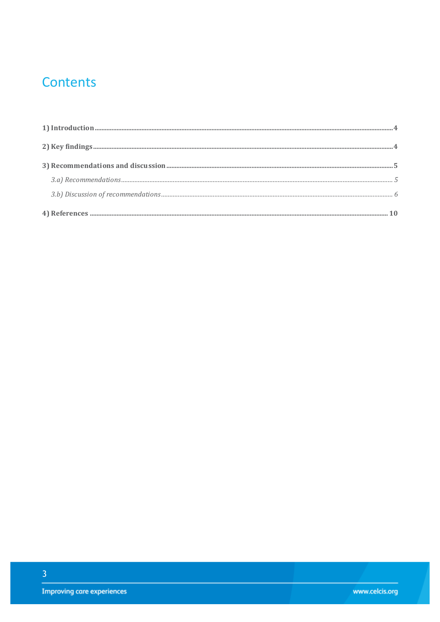## **Contents**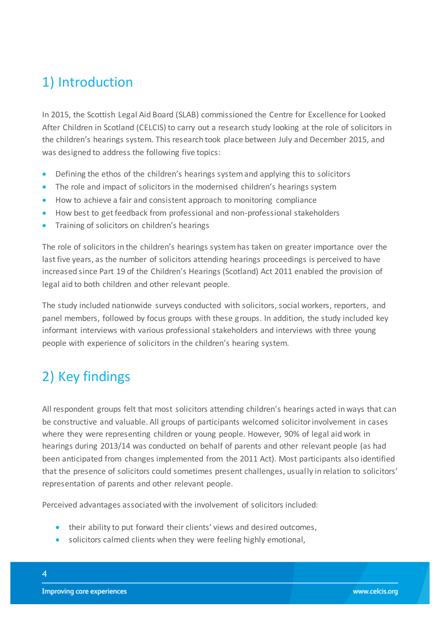## <span id="page-3-0"></span>1) Introduction

In 2015, the Scottish Legal Aid Board (SLAB) commissioned the Centre for Excellence for Looked After Children in Scotland (CELCIS) to carry out a research study looking at the role of solicitors in the children's hearings system. This research took place between July and December 2015, and was designed to address the following five topics:

- Defining the ethos of the children's hearings system and applying this to solicitors
- The role and impact of solicitors in the modernised children's hearings system
- How to achieve a fair and consistent approach to monitoring compliance
- How best to get feedback from professional and non-professional stakeholders
- Training of solicitors on children's hearings

The role of solicitors in the children's hearings system has taken on greater importance over the last five years, as the number of solicitors attending hearings proceedings is perceived to have increased since Part 19 of the Children's Hearings (Scotland) Act 2011 enabled the provision of legal aid to both children and other relevant people.

The study included nationwide surveys conducted with solicitors, social workers, reporters, and panel members, followed by focus groups with these groups. In addition, the study included key informant interviews with various professional stakeholders and interviews with three young people with experience of solicitors in the children's hearing system.

## <span id="page-3-1"></span>2) Key findings

All respondent groups felt that most solicitors attending children's hearings acted in ways that can be constructive and valuable. All groups of participants welcomed solicitor involvement in cases where they were representing children or young people. However, 90% of legal aid work in hearings during 2013/14 was conducted on behalf of parents and other relevant people (as had been anticipated from changes implemented from the 2011 Act). Most participants also identified that the presence of solicitors could sometimes present challenges, usually in relation to solicitors' representation of parents and other relevant people.

Perceived advantages associated with the involvement of solicitors included:

- their ability to put forward their clients' views and desired outcomes,
- solicitors calmed clients when they were feeling highly emotional,

4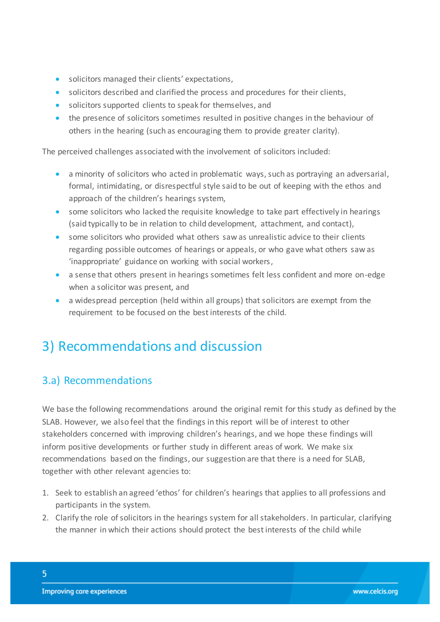- solicitors managed their clients' expectations,
- solicitors described and clarified the process and procedures for their clients,
- solicitors supported clients to speak for themselves, and
- the presence of solicitors sometimes resulted in positive changes in the behaviour of others in the hearing (such as encouraging them to provide greater clarity).

The perceived challenges associated with the involvement of solicitors included:

- a minority of solicitors who acted in problematic ways, such as portraying an adversarial, formal, intimidating, or disrespectful style said to be out of keeping with the ethos and approach of the children's hearings system,
- some solicitors who lacked the requisite knowledge to take part effectively in hearings (said typically to be in relation to child development, attachment, and contact),
- some solicitors who provided what others saw as unrealistic advice to their clients regarding possible outcomes of hearings or appeals, or who gave what others saw as 'inappropriate' guidance on working with social workers,
- a sense that others present in hearings sometimes felt less confident and more on-edge when a solicitor was present, and
- a widespread perception (held within all groups) that solicitors are exempt from the requirement to be focused on the best interests of the child.

## <span id="page-4-0"></span>3) Recommendations and discussion

## <span id="page-4-1"></span>3.a) Recommendations

We base the following recommendations around the original remit for this study as defined by the SLAB. However, we also feel that the findings in this report will be of interest to other stakeholders concerned with improving children's hearings, and we hope these findings will inform positive developments or further study in different areas of work. We make six recommendations based on the findings, our suggestion are that there is a need for SLAB, together with other relevant agencies to:

- 1. Seek to establish an agreed 'ethos' for children's hearings that applies to all professions and participants in the system.
- 2. Clarify the role of solicitors in the hearings system for all stakeholders. In particular, clarifying the manner in which their actions should protect the best interests of the child while

5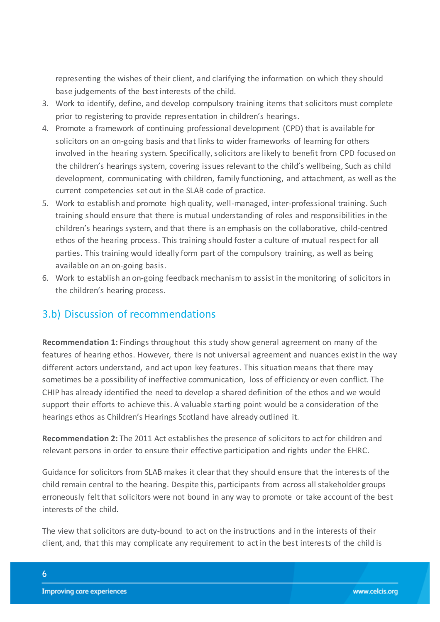representing the wishes of their client, and clarifying the information on which they should base judgements of the best interests of the child.

- 3. Work to identify, define, and develop compulsory training items that solicitors must complete prior to registering to provide representation in children's hearings.
- 4. Promote a framework of continuing professional development (CPD) that is available for solicitors on an on-going basis and that links to wider frameworks of learning for others involved in the hearing system. Specifically, solicitors are likely to benefit from CPD focused on the children's hearings system, covering issues relevant to the child's wellbeing, Such as child development, communicating with children, family functioning, and attachment, as well as the current competencies set out in the SLAB code of practice.
- 5. Work to establish and promote high quality, well-managed, inter-professional training. Such training should ensure that there is mutual understanding of roles and responsibilities in the children's hearings system, and that there is an emphasis on the collaborative, child-centred ethos of the hearing process. This training should foster a culture of mutual respect for all parties. This training would ideally form part of the compulsory training, as well as being available on an on-going basis.
- 6. Work to establish an on-going feedback mechanism to assist in the monitoring of solicitors in the children's hearing process.

### <span id="page-5-0"></span>3.b) Discussion of recommendations

**Recommendation 1:** Findings throughout this study show general agreement on many of the features of hearing ethos. However, there is not universal agreement and nuances exist in the way different actors understand, and act upon key features. This situation means that there may sometimes be a possibility of ineffective communication, loss of efficiency or even conflict. The CHIP has already identified the need to develop a shared definition of the ethos and we would support their efforts to achieve this. A valuable starting point would be a consideration of the hearings ethos as Children's Hearings Scotland have already outlined it.

**Recommendation 2:** The 2011 Act establishes the presence of solicitors to act for children and relevant persons in order to ensure their effective participation and rights under the EHRC.

Guidance for solicitors from SLAB makes it clear that they should ensure that the interests of the child remain central to the hearing. Despite this, participants from across all stakeholder groups erroneously felt that solicitors were not bound in any way to promote or take account of the best interests of the child.

The view that solicitors are duty-bound to act on the instructions and in the interests of their client, and, that this may complicate any requirement to act in the best interests of the child is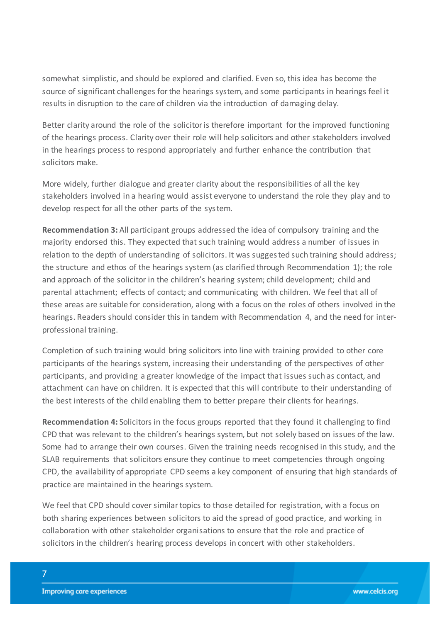somewhat simplistic, and should be explored and clarified. Even so, this idea has become the source of significant challenges for the hearings system, and some participants in hearings feel it results in disruption to the care of children via the introduction of damaging delay.

Better clarity around the role of the solicitor is therefore important for the improved functioning of the hearings process. Clarity over their role will help solicitors and other stakeholders involved in the hearings process to respond appropriately and further enhance the contribution that solicitors make.

More widely, further dialogue and greater clarity about the responsibilities of all the key stakeholders involved in a hearing would assist everyone to understand the role they play and to develop respect for all the other parts of the system.

**Recommendation 3:** All participant groups addressed the idea of compulsory training and the majority endorsed this. They expected that such training would address a number of issues in relation to the depth of understanding of solicitors. It was suggested such training should address; the structure and ethos of the hearings system (as clarified through Recommendation 1); the role and approach of the solicitor in the children's hearing system; child development; child and parental attachment; effects of contact; and communicating with children. We feel that all of these areas are suitable for consideration, along with a focus on the roles of others involved in the hearings. Readers should consider this in tandem with Recommendation 4, and the need for interprofessional training.

Completion of such training would bring solicitors into line with training provided to other core participants of the hearings system, increasing their understanding of the perspectives of other participants, and providing a greater knowledge of the impact that issues such as contact, and attachment can have on children. It is expected that this will contribute to their understanding of the best interests of the child enabling them to better prepare their clients for hearings.

**Recommendation 4:** Solicitors in the focus groups reported that they found it challenging to find CPD that was relevant to the children's hearings system, but not solely based on issues of the law. Some had to arrange their own courses. Given the training needs recognised in this study, and the SLAB requirements that solicitors ensure they continue to meet competencies through ongoing CPD, the availability of appropriate CPD seems a key component of ensuring that high standards of practice are maintained in the hearings system.

We feel that CPD should cover similar topics to those detailed for registration, with a focus on both sharing experiences between solicitors to aid the spread of good practice, and working in collaboration with other stakeholder organisations to ensure that the role and practice of solicitors in the children's hearing process develops in concert with other stakeholders.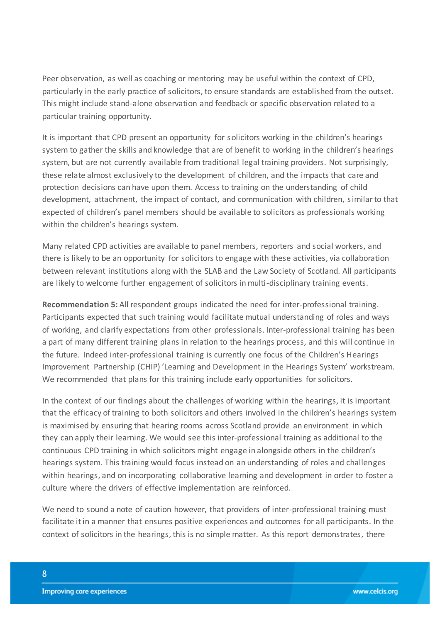Peer observation, as well as coaching or mentoring may be useful within the context of CPD, particularly in the early practice of solicitors, to ensure standards are established from the outset. This might include stand-alone observation and feedback or specific observation related to a particular training opportunity.

It is important that CPD present an opportunity for solicitors working in the children's hearings system to gather the skills and knowledge that are of benefit to working in the children's hearings system, but are not currently available from traditional legal training providers. Not surprisingly, these relate almost exclusively to the development of children, and the impacts that care and protection decisions can have upon them. Access to training on the understanding of child development, attachment, the impact of contact, and communication with children, similar to that expected of children's panel members should be available to solicitors as professionals working within the children's hearings system.

Many related CPD activities are available to panel members, reporters and social workers, and there is likely to be an opportunity for solicitors to engage with these activities, via collaboration between relevant institutions along with the SLAB and the Law Society of Scotland. All participants are likely to welcome further engagement of solicitors in multi-disciplinary training events.

**Recommendation 5:** All respondent groups indicated the need for inter-professional training. Participants expected that such training would facilitate mutual understanding of roles and ways of working, and clarify expectations from other professionals. Inter-professional training has been a part of many different training plans in relation to the hearings process, and this will continue in the future. Indeed inter-professional training is currently one focus of the Children's Hearings Improvement Partnership (CHIP) 'Learning and Development in the Hearings System' workstream. We recommended that plans for this training include early opportunities for solicitors.

In the context of our findings about the challenges of working within the hearings, it is important that the efficacy of training to both solicitors and others involved in the children's hearings system is maximised by ensuring that hearing rooms across Scotland provide an environment in which they can apply their learning. We would see this inter-professional training as additional to the continuous CPD training in which solicitors might engage in alongside others in the children's hearings system. This training would focus instead on an understanding of roles and challenges within hearings, and on incorporating collaborative learning and development in order to foster a culture where the drivers of effective implementation are reinforced.

We need to sound a note of caution however, that providers of inter-professional training must facilitate it in a manner that ensures positive experiences and outcomes for all participants. In the context of solicitors in the hearings, this is no simple matter. As this report demonstrates, there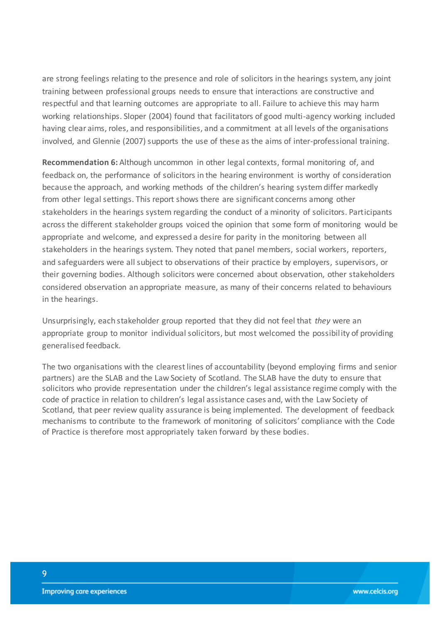are strong feelings relating to the presence and role of solicitors in the hearings system, any joint training between professional groups needs to ensure that interactions are constructive and respectful and that learning outcomes are appropriate to all. Failure to achieve this may harm working relationships. Sloper (2004) found that facilitators of good multi-agency working included having clear aims, roles, and responsibilities, and a commitment at all levels of the organisations involved, and Glennie (2007) supports the use of these as the aims of inter-professional training.

**Recommendation 6:** Although uncommon in other legal contexts, formal monitoring of, and feedback on, the performance of solicitors in the hearing environment is worthy of consideration because the approach, and working methods of the children's hearing system differ markedly from other legal settings. This report shows there are significant concerns among other stakeholders in the hearings system regarding the conduct of a minority of solicitors. Participants across the different stakeholder groups voiced the opinion that some form of monitoring would be appropriate and welcome, and expressed a desire for parity in the monitoring between all stakeholders in the hearings system. They noted that panel members, social workers, reporters, and safeguarders were all subject to observations of their practice by employers, supervisors, or their governing bodies. Although solicitors were concerned about observation, other stakeholders considered observation an appropriate measure, as many of their concerns related to behaviours in the hearings.

Unsurprisingly, each stakeholder group reported that they did not feel that *they* were an appropriate group to monitor individual solicitors, but most welcomed the possibility of providing generalised feedback.

The two organisations with the clearest lines of accountability (beyond employing firms and senior partners) are the SLAB and the Law Society of Scotland. The SLAB have the duty to ensure that solicitors who provide representation under the children's legal assistance regime comply with the code of practice in relation to children's legal assistance cases and, with the Law Society of Scotland, that peer review quality assurance is being implemented. The development of feedback mechanisms to contribute to the framework of monitoring of solicitors' compliance with the Code of Practice is therefore most appropriately taken forward by these bodies.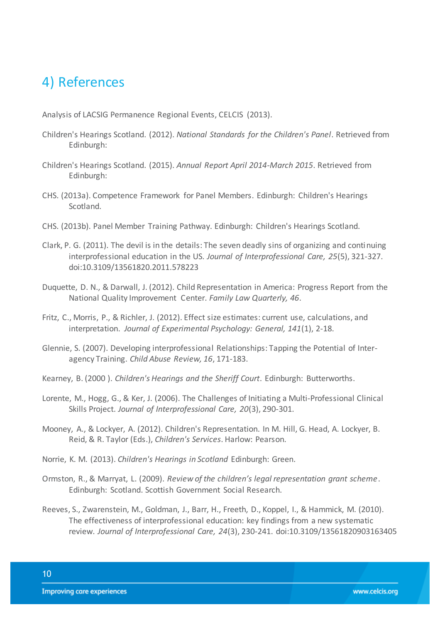## <span id="page-9-0"></span>4) References

Analysis of LACSIG Permanence Regional Events, CELCIS (2013).

- Children's Hearings Scotland. (2012). *National Standards for the Children's Panel*. Retrieved from Edinburgh:
- Children's Hearings Scotland. (2015). *Annual Report April 2014-March 2015*. Retrieved from Edinburgh:
- CHS. (2013a). Competence Framework for Panel Members. Edinburgh: Children's Hearings Scotland.
- CHS. (2013b). Panel Member Training Pathway. Edinburgh: Children's Hearings Scotland.
- Clark, P. G. (2011). The devil is in the details: The seven deadly sins of organizing and continuing interprofessional education in the US. *Journal of Interprofessional Care, 25*(5), 321-327. doi:10.3109/13561820.2011.578223
- Duquette, D. N., & Darwall, J. (2012). Child Representation in America: Progress Report from the National Quality Improvement Center. *Family Law Quarterly, 46*.
- Fritz, C., Morris, P., & Richler, J. (2012). Effect size estimates: current use, calculations, and interpretation. *Journal of Experimental Psychology: General, 141*(1), 2-18.
- Glennie, S. (2007). Developing interprofessional Relationships: Tapping the Potential of Interagency Training. *Child Abuse Review, 16*, 171-183.
- Kearney, B. (2000 ). *Children's Hearings and the Sheriff Court*. Edinburgh: Butterworths.
- Lorente, M., Hogg, G., & Ker, J. (2006). The Challenges of Initiating a Multi-Professional Clinical Skills Project. *Journal of Interprofessional Care, 20*(3), 290-301.
- Mooney, A., & Lockyer, A. (2012). Children's Representation. In M. Hill, G. Head, A. Lockyer, B. Reid, & R. Taylor (Eds.), *Children's Services*. Harlow: Pearson.
- Norrie, K. M. (2013). *Children's Hearings in Scotland* Edinburgh: Green.
- Ormston, R., & Marryat, L. (2009). *Review of the children's legal representation grant scheme*. Edinburgh: Scotland. Scottish Government Social Research.
- Reeves, S., Zwarenstein, M., Goldman, J., Barr, H., Freeth, D., Koppel, I., & Hammick, M. (2010). The effectiveness of interprofessional education: key findings from a new systematic review. *Journal of Interprofessional Care, 24*(3), 230-241. doi:10.3109/13561820903163405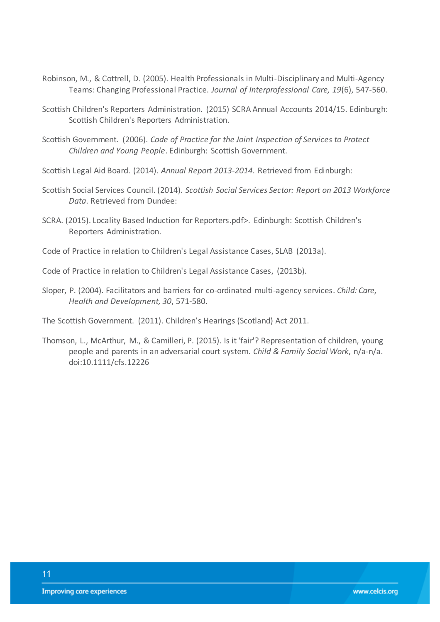- Robinson, M., & Cottrell, D. (2005). Health Professionals in Multi-Disciplinary and Multi-Agency Teams: Changing Professional Practice. *Journal of Interprofessional Care, 19*(6), 547-560.
- Scottish Children's Reporters Administration. (2015) SCRA Annual Accounts 2014/15. Edinburgh: Scottish Children's Reporters Administration.
- Scottish Government. (2006). *Code of Practice for the Joint Inspection of Services to Protect Children and Young People*. Edinburgh: Scottish Government.
- Scottish Legal Aid Board. (2014). *Annual Report 2013-2014*. Retrieved from Edinburgh:
- Scottish Social Services Council. (2014). *Scottish Social Services Sector: Report on 2013 Workforce Data*. Retrieved from Dundee:
- SCRA. (2015). Locality Based Induction for Reporters.pdf>. Edinburgh: Scottish Children's Reporters Administration.
- Code of Practice in relation to Children's Legal Assistance Cases, SLAB (2013a).
- Code of Practice in relation to Children's Legal Assistance Cases, (2013b).
- Sloper, P. (2004). Facilitators and barriers for co-ordinated multi-agency services. *Child: Care, Health and Development, 30*, 571-580.

The Scottish Government. (2011). Children's Hearings (Scotland) Act 2011.

Thomson, L., McArthur, M., & Camilleri, P. (2015). Is it 'fair'? Representation of children, young people and parents in an adversarial court system. *Child & Family Social Work*, n/a-n/a. doi:10.1111/cfs.12226

11